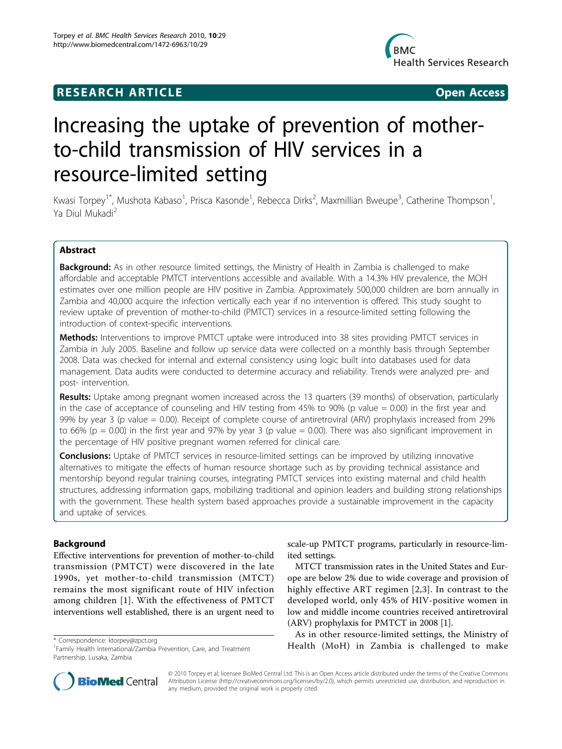# **RESEARCH ARTICLE Example 2018 12:00 Open Access**



# Increasing the uptake of prevention of motherto-child transmission of HIV services in a resource-limited setting

Kwasi Torpey<sup>1\*</sup>, Mushota Kabaso<sup>1</sup>, Prisca Kasonde<sup>1</sup>, Rebecca Dirks<sup>2</sup>, Maxmillian Bweupe<sup>3</sup>, Catherine Thompson<sup>1</sup> , Ya Diul Mukadi<sup>2</sup>

# Abstract

**Background:** As in other resource limited settings, the Ministry of Health in Zambia is challenged to make affordable and acceptable PMTCT interventions accessible and available. With a 14.3% HIV prevalence, the MOH estimates over one million people are HIV positive in Zambia. Approximately 500,000 children are born annually in Zambia and 40,000 acquire the infection vertically each year if no intervention is offered. This study sought to review uptake of prevention of mother-to-child (PMTCT) services in a resource-limited setting following the introduction of context-specific interventions.

Methods: Interventions to improve PMTCT uptake were introduced into 38 sites providing PMTCT services in Zambia in July 2005. Baseline and follow up service data were collected on a monthly basis through September 2008. Data was checked for internal and external consistency using logic built into databases used for data management. Data audits were conducted to determine accuracy and reliability. Trends were analyzed pre- and post- intervention.

Results: Uptake among pregnant women increased across the 13 quarters (39 months) of observation, particularly in the case of acceptance of counseling and HIV testing from 45% to 90% (p value = 0.00) in the first year and 99% by year 3 (p value = 0.00). Receipt of complete course of antiretroviral (ARV) prophylaxis increased from 29% to 66% ( $p = 0.00$ ) in the first year and 97% by year 3 (p value = 0.00). There was also significant improvement in the percentage of HIV positive pregnant women referred for clinical care.

**Conclusions:** Uptake of PMTCT services in resource-limited settings can be improved by utilizing innovative alternatives to mitigate the effects of human resource shortage such as by providing technical assistance and mentorship beyond regular training courses, integrating PMTCT services into existing maternal and child health structures, addressing information gaps, mobilizing traditional and opinion leaders and building strong relationships with the government. These health system based approaches provide a sustainable improvement in the capacity and uptake of services.

# Background

Effective interventions for prevention of mother-to-child transmission (PMTCT) were discovered in the late 1990s, yet mother-to-child transmission (MTCT) remains the most significant route of HIV infection among children [[1\]](#page-6-0). With the effectiveness of PMTCT interventions well established, there is an urgent need to

<sup>1</sup> Family Health International/Zambia Prevention, Care, and Treatment Partnership, Lusaka, Zambia

scale-up PMTCT programs, particularly in resource-limited settings.

MTCT transmission rates in the United States and Europe are below 2% due to wide coverage and provision of highly effective ART regimen [[2](#page-6-0),[3\]](#page-6-0). In contrast to the developed world, only 45% of HIV-positive women in low and middle income countries received antiretroviral (ARV) prophylaxis for PMTCT in 2008 [\[1](#page-6-0)].

As in other resource-limited settings, the Ministry of \* Correspondence: [ktorpey@zpct.org](mailto:ktorpey@zpct.org)<br><sup>1</sup>Eamily Health loternational/Zambia Prevention Care and Treatment **Health (MoH) in Zambia is challenged to make** 



© 2010 Torpey et al; licensee BioMed Central Ltd. This is an Open Access article distributed under the terms of the Creative Commons Attribution License [\(http://creativecommons.org/licenses/by/2.0](http://creativecommons.org/licenses/by/2.0)), which permits unrestricted use, distribution, and reproduction in any medium, provided the original work is properly cited.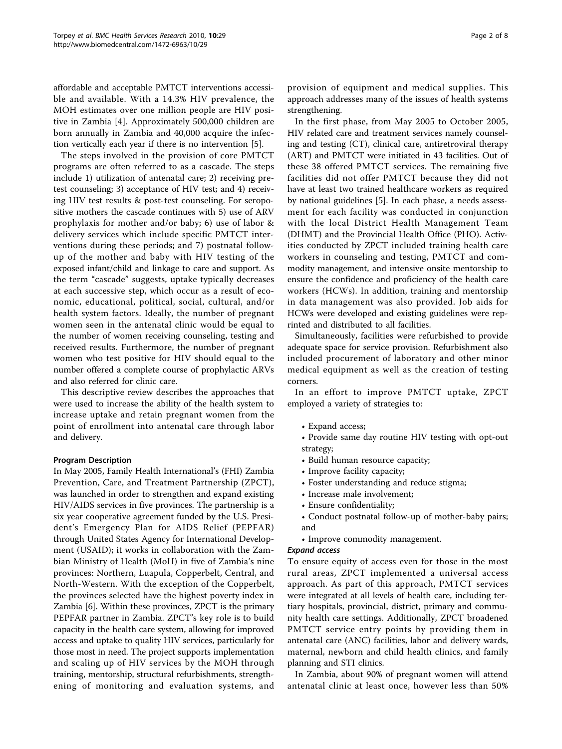affordable and acceptable PMTCT interventions accessible and available. With a 14.3% HIV prevalence, the MOH estimates over one million people are HIV positive in Zambia [[4](#page-6-0)]. Approximately 500,000 children are born annually in Zambia and 40,000 acquire the infection vertically each year if there is no intervention [\[5](#page-6-0)].

The steps involved in the provision of core PMTCT programs are often referred to as a cascade. The steps include 1) utilization of antenatal care; 2) receiving pretest counseling; 3) acceptance of HIV test; and 4) receiving HIV test results & post-test counseling. For seropositive mothers the cascade continues with 5) use of ARV prophylaxis for mother and/or baby; 6) use of labor & delivery services which include specific PMTCT interventions during these periods; and 7) postnatal followup of the mother and baby with HIV testing of the exposed infant/child and linkage to care and support. As the term "cascade" suggests, uptake typically decreases at each successive step, which occur as a result of economic, educational, political, social, cultural, and/or health system factors. Ideally, the number of pregnant women seen in the antenatal clinic would be equal to the number of women receiving counseling, testing and received results. Furthermore, the number of pregnant women who test positive for HIV should equal to the number offered a complete course of prophylactic ARVs and also referred for clinic care.

This descriptive review describes the approaches that were used to increase the ability of the health system to increase uptake and retain pregnant women from the point of enrollment into antenatal care through labor and delivery.

#### Program Description

In May 2005, Family Health International's (FHI) Zambia Prevention, Care, and Treatment Partnership (ZPCT), was launched in order to strengthen and expand existing HIV/AIDS services in five provinces. The partnership is a six year cooperative agreement funded by the U.S. President's Emergency Plan for AIDS Relief (PEPFAR) through United States Agency for International Development (USAID); it works in collaboration with the Zambian Ministry of Health (MoH) in five of Zambia's nine provinces: Northern, Luapula, Copperbelt, Central, and North-Western. With the exception of the Copperbelt, the provinces selected have the highest poverty index in Zambia [\[6](#page-6-0)]. Within these provinces, ZPCT is the primary PEPFAR partner in Zambia. ZPCT's key role is to build capacity in the health care system, allowing for improved access and uptake to quality HIV services, particularly for those most in need. The project supports implementation and scaling up of HIV services by the MOH through training, mentorship, structural refurbishments, strengthening of monitoring and evaluation systems, and provision of equipment and medical supplies. This approach addresses many of the issues of health systems strengthening.

In the first phase, from May 2005 to October 2005, HIV related care and treatment services namely counseling and testing (CT), clinical care, antiretroviral therapy (ART) and PMTCT were initiated in 43 facilities. Out of these 38 offered PMTCT services. The remaining five facilities did not offer PMTCT because they did not have at least two trained healthcare workers as required by national guidelines [\[5](#page-6-0)]. In each phase, a needs assessment for each facility was conducted in conjunction with the local District Health Management Team (DHMT) and the Provincial Health Office (PHO). Activities conducted by ZPCT included training health care workers in counseling and testing, PMTCT and commodity management, and intensive onsite mentorship to ensure the confidence and proficiency of the health care workers (HCWs). In addition, training and mentorship in data management was also provided. Job aids for HCWs were developed and existing guidelines were reprinted and distributed to all facilities.

Simultaneously, facilities were refurbished to provide adequate space for service provision. Refurbishment also included procurement of laboratory and other minor medical equipment as well as the creation of testing corners.

In an effort to improve PMTCT uptake, ZPCT employed a variety of strategies to:

- Expand access;
- Provide same day routine HIV testing with opt-out strategy;
- Build human resource capacity;
- Improve facility capacity;
- Foster understanding and reduce stigma;
- Increase male involvement;
- Ensure confidentiality;
- Conduct postnatal follow-up of mother-baby pairs; and
- Improve commodity management.

#### Expand access

To ensure equity of access even for those in the most rural areas, ZPCT implemented a universal access approach. As part of this approach, PMTCT services were integrated at all levels of health care, including tertiary hospitals, provincial, district, primary and community health care settings. Additionally, ZPCT broadened PMTCT service entry points by providing them in antenatal care (ANC) facilities, labor and delivery wards, maternal, newborn and child health clinics, and family planning and STI clinics.

In Zambia, about 90% of pregnant women will attend antenatal clinic at least once, however less than 50%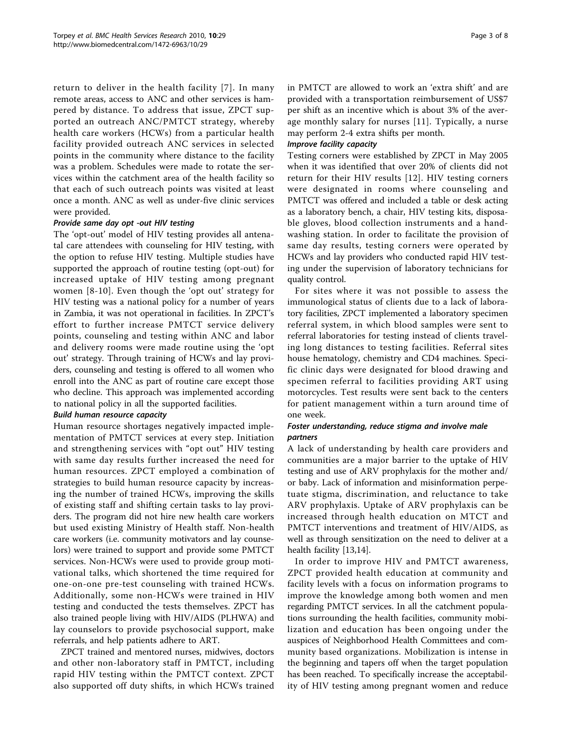return to deliver in the health facility [[7](#page-6-0)]. In many remote areas, access to ANC and other services is hampered by distance. To address that issue, ZPCT supported an outreach ANC/PMTCT strategy, whereby health care workers (HCWs) from a particular health facility provided outreach ANC services in selected points in the community where distance to the facility was a problem. Schedules were made to rotate the services within the catchment area of the health facility so that each of such outreach points was visited at least once a month. ANC as well as under-five clinic services were provided.

#### Provide same day opt -out HIV testing

The 'opt-out' model of HIV testing provides all antenatal care attendees with counseling for HIV testing, with the option to refuse HIV testing. Multiple studies have supported the approach of routine testing (opt-out) for increased uptake of HIV testing among pregnant women [[8](#page-6-0)-[10\]](#page-6-0). Even though the 'opt out' strategy for HIV testing was a national policy for a number of years in Zambia, it was not operational in facilities. In ZPCT's effort to further increase PMTCT service delivery points, counseling and testing within ANC and labor and delivery rooms were made routine using the 'opt out' strategy. Through training of HCWs and lay providers, counseling and testing is offered to all women who enroll into the ANC as part of routine care except those who decline. This approach was implemented according to national policy in all the supported facilities.

# Build human resource capacity

Human resource shortages negatively impacted implementation of PMTCT services at every step. Initiation and strengthening services with "opt out" HIV testing with same day results further increased the need for human resources. ZPCT employed a combination of strategies to build human resource capacity by increasing the number of trained HCWs, improving the skills of existing staff and shifting certain tasks to lay providers. The program did not hire new health care workers but used existing Ministry of Health staff. Non-health care workers (i.e. community motivators and lay counselors) were trained to support and provide some PMTCT services. Non-HCWs were used to provide group motivational talks, which shortened the time required for one-on-one pre-test counseling with trained HCWs. Additionally, some non-HCWs were trained in HIV testing and conducted the tests themselves. ZPCT has also trained people living with HIV/AIDS (PLHWA) and lay counselors to provide psychosocial support, make referrals, and help patients adhere to ART.

ZPCT trained and mentored nurses, midwives, doctors and other non-laboratory staff in PMTCT, including rapid HIV testing within the PMTCT context. ZPCT also supported off duty shifts, in which HCWs trained in PMTCT are allowed to work an 'extra shift' and are provided with a transportation reimbursement of US\$7 per shift as an incentive which is about 3% of the average monthly salary for nurses [[11\]](#page-6-0). Typically, a nurse may perform 2-4 extra shifts per month.

#### Improve facility capacity

Testing corners were established by ZPCT in May 2005 when it was identified that over 20% of clients did not return for their HIV results [[12\]](#page-6-0). HIV testing corners were designated in rooms where counseling and PMTCT was offered and included a table or desk acting as a laboratory bench, a chair, HIV testing kits, disposable gloves, blood collection instruments and a handwashing station. In order to facilitate the provision of same day results, testing corners were operated by HCWs and lay providers who conducted rapid HIV testing under the supervision of laboratory technicians for quality control.

For sites where it was not possible to assess the immunological status of clients due to a lack of laboratory facilities, ZPCT implemented a laboratory specimen referral system, in which blood samples were sent to referral laboratories for testing instead of clients traveling long distances to testing facilities. Referral sites house hematology, chemistry and CD4 machines. Specific clinic days were designated for blood drawing and specimen referral to facilities providing ART using motorcycles. Test results were sent back to the centers for patient management within a turn around time of one week.

# Foster understanding, reduce stigma and involve male partners

A lack of understanding by health care providers and communities are a major barrier to the uptake of HIV testing and use of ARV prophylaxis for the mother and/ or baby. Lack of information and misinformation perpetuate stigma, discrimination, and reluctance to take ARV prophylaxis. Uptake of ARV prophylaxis can be increased through health education on MTCT and PMTCT interventions and treatment of HIV/AIDS, as well as through sensitization on the need to deliver at a health facility [\[13,14\]](#page-6-0).

In order to improve HIV and PMTCT awareness, ZPCT provided health education at community and facility levels with a focus on information programs to improve the knowledge among both women and men regarding PMTCT services. In all the catchment populations surrounding the health facilities, community mobilization and education has been ongoing under the auspices of Neighborhood Health Committees and community based organizations. Mobilization is intense in the beginning and tapers off when the target population has been reached. To specifically increase the acceptability of HIV testing among pregnant women and reduce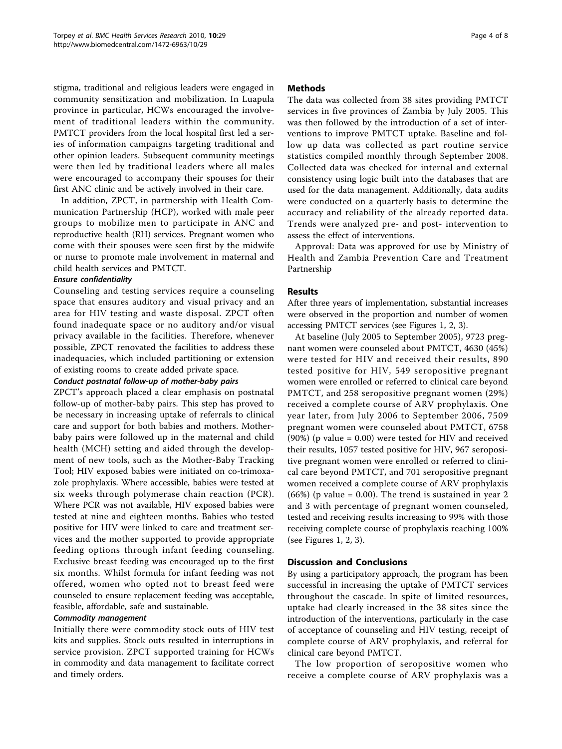stigma, traditional and religious leaders were engaged in community sensitization and mobilization. In Luapula province in particular, HCWs encouraged the involvement of traditional leaders within the community. PMTCT providers from the local hospital first led a series of information campaigns targeting traditional and other opinion leaders. Subsequent community meetings were then led by traditional leaders where all males were encouraged to accompany their spouses for their first ANC clinic and be actively involved in their care.

In addition, ZPCT, in partnership with Health Communication Partnership (HCP), worked with male peer groups to mobilize men to participate in ANC and reproductive health (RH) services. Pregnant women who come with their spouses were seen first by the midwife or nurse to promote male involvement in maternal and child health services and PMTCT.

#### Ensure confidentiality

Counseling and testing services require a counseling space that ensures auditory and visual privacy and an area for HIV testing and waste disposal. ZPCT often found inadequate space or no auditory and/or visual privacy available in the facilities. Therefore, whenever possible, ZPCT renovated the facilities to address these inadequacies, which included partitioning or extension of existing rooms to create added private space.

# Conduct postnatal follow-up of mother-baby pairs

ZPCT's approach placed a clear emphasis on postnatal follow-up of mother-baby pairs. This step has proved to be necessary in increasing uptake of referrals to clinical care and support for both babies and mothers. Motherbaby pairs were followed up in the maternal and child health (MCH) setting and aided through the development of new tools, such as the Mother-Baby Tracking Tool; HIV exposed babies were initiated on co-trimoxazole prophylaxis. Where accessible, babies were tested at six weeks through polymerase chain reaction (PCR). Where PCR was not available, HIV exposed babies were tested at nine and eighteen months. Babies who tested positive for HIV were linked to care and treatment services and the mother supported to provide appropriate feeding options through infant feeding counseling. Exclusive breast feeding was encouraged up to the first six months. Whilst formula for infant feeding was not offered, women who opted not to breast feed were counseled to ensure replacement feeding was acceptable, feasible, affordable, safe and sustainable.

#### Commodity management

Initially there were commodity stock outs of HIV test kits and supplies. Stock outs resulted in interruptions in service provision. ZPCT supported training for HCWs in commodity and data management to facilitate correct and timely orders.

### Methods

The data was collected from 38 sites providing PMTCT services in five provinces of Zambia by July 2005. This was then followed by the introduction of a set of interventions to improve PMTCT uptake. Baseline and follow up data was collected as part routine service statistics compiled monthly through September 2008. Collected data was checked for internal and external consistency using logic built into the databases that are used for the data management. Additionally, data audits were conducted on a quarterly basis to determine the accuracy and reliability of the already reported data. Trends were analyzed pre- and post- intervention to assess the effect of interventions.

Approval: Data was approved for use by Ministry of Health and Zambia Prevention Care and Treatment Partnership

# Results

After three years of implementation, substantial increases were observed in the proportion and number of women accessing PMTCT services (see Figures [1,](#page-4-0) [2, 3\)](#page-5-0).

At baseline (July 2005 to September 2005), 9723 pregnant women were counseled about PMTCT, 4630 (45%) were tested for HIV and received their results, 890 tested positive for HIV, 549 seropositive pregnant women were enrolled or referred to clinical care beyond PMTCT, and 258 seropositive pregnant women (29%) received a complete course of ARV prophylaxis. One year later, from July 2006 to September 2006, 7509 pregnant women were counseled about PMTCT, 6758 (90%) (p value = 0.00) were tested for HIV and received their results, 1057 tested positive for HIV, 967 seropositive pregnant women were enrolled or referred to clinical care beyond PMTCT, and 701 seropositive pregnant women received a complete course of ARV prophylaxis  $(66%)$  (p value = 0.00). The trend is sustained in year 2 and 3 with percentage of pregnant women counseled, tested and receiving results increasing to 99% with those receiving complete course of prophylaxis reaching 100% (see Figures [1](#page-4-0), [2](#page-5-0), [3](#page-5-0)).

# Discussion and Conclusions

By using a participatory approach, the program has been successful in increasing the uptake of PMTCT services throughout the cascade. In spite of limited resources, uptake had clearly increased in the 38 sites since the introduction of the interventions, particularly in the case of acceptance of counseling and HIV testing, receipt of complete course of ARV prophylaxis, and referral for clinical care beyond PMTCT.

The low proportion of seropositive women who receive a complete course of ARV prophylaxis was a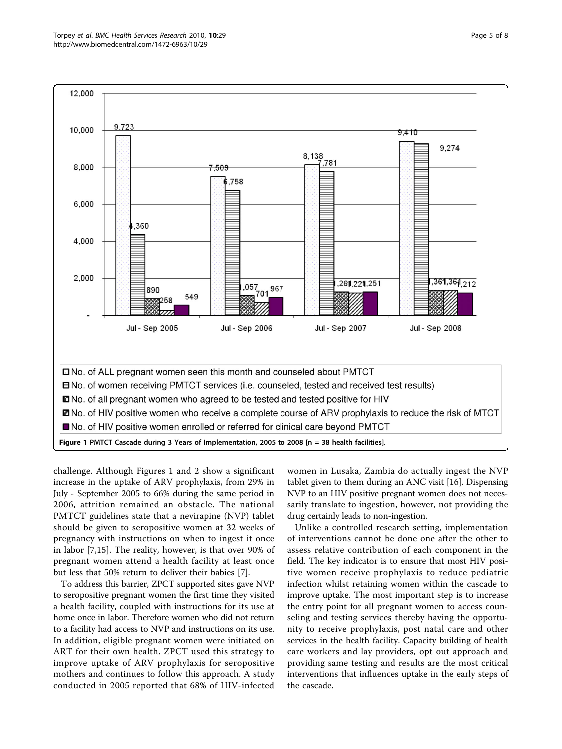<span id="page-4-0"></span>

challenge. Although Figures 1 and [2](#page-5-0) show a significant increase in the uptake of ARV prophylaxis, from 29% in July - September 2005 to 66% during the same period in 2006, attrition remained an obstacle. The national PMTCT guidelines state that a nevirapine (NVP) tablet should be given to seropositive women at 32 weeks of pregnancy with instructions on when to ingest it once in labor [[7,](#page-6-0)[15\]](#page-7-0). The reality, however, is that over 90% of pregnant women attend a health facility at least once but less that 50% return to deliver their babies [[7\]](#page-6-0).

To address this barrier, ZPCT supported sites gave NVP to seropositive pregnant women the first time they visited a health facility, coupled with instructions for its use at home once in labor. Therefore women who did not return to a facility had access to NVP and instructions on its use. In addition, eligible pregnant women were initiated on ART for their own health. ZPCT used this strategy to improve uptake of ARV prophylaxis for seropositive mothers and continues to follow this approach. A study conducted in 2005 reported that 68% of HIV-infected

women in Lusaka, Zambia do actually ingest the NVP tablet given to them during an ANC visit [\[16](#page-7-0)]. Dispensing NVP to an HIV positive pregnant women does not necessarily translate to ingestion, however, not providing the drug certainly leads to non-ingestion.

Unlike a controlled research setting, implementation of interventions cannot be done one after the other to assess relative contribution of each component in the field. The key indicator is to ensure that most HIV positive women receive prophylaxis to reduce pediatric infection whilst retaining women within the cascade to improve uptake. The most important step is to increase the entry point for all pregnant women to access counseling and testing services thereby having the opportunity to receive prophylaxis, post natal care and other services in the health facility. Capacity building of health care workers and lay providers, opt out approach and providing same testing and results are the most critical interventions that influences uptake in the early steps of the cascade.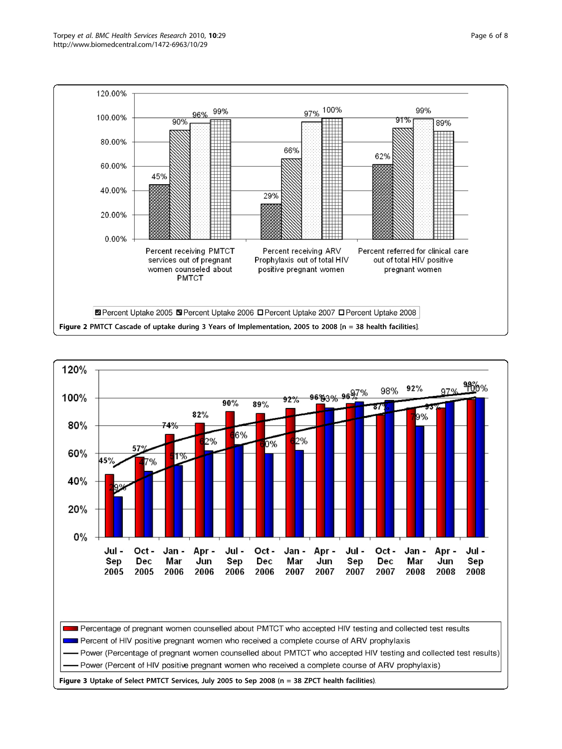<span id="page-5-0"></span>



Power (Percentage of pregnant women counselled about PMTCT who accepted HIV testing and collected test results)

- Power (Percent of HIV positive pregnant women who received a complete course of ARV prophylaxis)

Figure 3 Uptake of Select PMTCT Services, July 2005 to Sep 2008 (n = 38 ZPCT health facilities).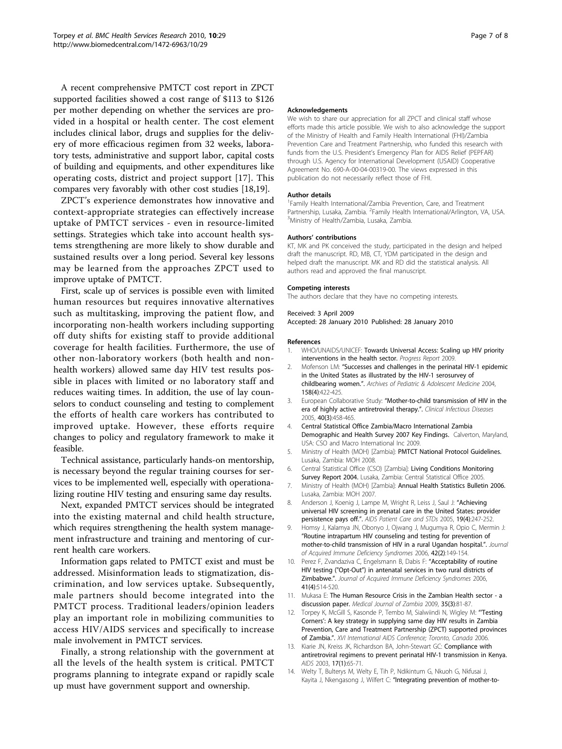<span id="page-6-0"></span>A recent comprehensive PMTCT cost report in ZPCT supported facilities showed a cost range of \$113 to \$126 per mother depending on whether the services are provided in a hospital or health center. The cost element includes clinical labor, drugs and supplies for the delivery of more efficacious regimen from 32 weeks, laboratory tests, administrative and support labor, capital costs of building and equipments, and other expenditures like operating costs, district and project support [[17\]](#page-7-0). This compares very favorably with other cost studies [\[18,19\]](#page-7-0).

ZPCT's experience demonstrates how innovative and context-appropriate strategies can effectively increase uptake of PMTCT services - even in resource-limited settings. Strategies which take into account health systems strengthening are more likely to show durable and sustained results over a long period. Several key lessons may be learned from the approaches ZPCT used to improve uptake of PMTCT.

First, scale up of services is possible even with limited human resources but requires innovative alternatives such as multitasking, improving the patient flow, and incorporating non-health workers including supporting off duty shifts for existing staff to provide additional coverage for health facilities. Furthermore, the use of other non-laboratory workers (both health and nonhealth workers) allowed same day HIV test results possible in places with limited or no laboratory staff and reduces waiting times. In addition, the use of lay counselors to conduct counseling and testing to complement the efforts of health care workers has contributed to improved uptake. However, these efforts require changes to policy and regulatory framework to make it feasible.

Technical assistance, particularly hands-on mentorship, is necessary beyond the regular training courses for services to be implemented well, especially with operationalizing routine HIV testing and ensuring same day results.

Next, expanded PMTCT services should be integrated into the existing maternal and child health structure, which requires strengthening the health system management infrastructure and training and mentoring of current health care workers.

Information gaps related to PMTCT exist and must be addressed. Misinformation leads to stigmatization, discrimination, and low services uptake. Subsequently, male partners should become integrated into the PMTCT process. Traditional leaders/opinion leaders play an important role in mobilizing communities to access HIV/AIDS services and specifically to increase male involvement in PMTCT services.

Finally, a strong relationship with the government at all the levels of the health system is critical. PMTCT programs planning to integrate expand or rapidly scale up must have government support and ownership.

#### Acknowledgements

We wish to share our appreciation for all ZPCT and clinical staff whose efforts made this article possible. We wish to also acknowledge the support of the Ministry of Health and Family Health International (FHI)/Zambia Prevention Care and Treatment Partnership, who funded this research with funds from the U.S. President's Emergency Plan for AIDS Relief (PEPFAR) through U.S. Agency for International Development (USAID) Cooperative Agreement No. 690-A-00-04-00319-00. The views expressed in this publication do not necessarily reflect those of FHI.

#### Author details

<sup>1</sup> Family Health International/Zambia Prevention, Care, and Treatment Partnership, Lusaka, Zambia. <sup>2</sup> Family Health International/Arlington, VA, USA.<br><sup>3</sup> Minista*u of Hoalth (Zambia, Lusaka, Zambia* <sup>3</sup>Ministry of Health/Zambia, Lusaka, Zambia.

#### Authors' contributions

KT, MK and PK conceived the study, participated in the design and helped draft the manuscript. RD, MB, CT, YDM participated in the design and helped draft the manuscript. MK and RD did the statistical analysis. All authors read and approved the final manuscript.

#### Competing interests

The authors declare that they have no competing interests.

#### Received: 3 April 2009

Accepted: 28 January 2010 Published: 28 January 2010

#### References

- 1. WHO/UNAIDS/UNICEF: Towards Universal Access: Scaling up HIV priority interventions in the health sector. Progress Report 2009.
- 2. Mofenson LM: "Successes and challenges in the perinatal HIV-1 epidemic in the United States as illustrated by the HIV-1 serosurvey of childbearing women.". Archives of Pediatric & Adolescent Medicine 2004, 158(4):422-425.
- 3. European Collaborative Study: "[Mother-to-child transmission of HIV in the](http://www.ncbi.nlm.nih.gov/pubmed/15668871?dopt=Abstract) [era of highly active antiretroviral therapy.](http://www.ncbi.nlm.nih.gov/pubmed/15668871?dopt=Abstract)". Clinical Infectious Diseases 2005, 40(3):458-465.
- 4. Central Statistical Office Zambia/Macro International Zambia Demographic and Health Survey 2007 Key Findings. Calverton, Maryland, USA: CSO and Macro International Inc 2009.
- 5. Ministry of Health (MOH) [Zambia]: PMTCT National Protocol Guidelines. Lusaka, Zambia: MOH 2008.
- 6. Central Statistical Office (CSO) [Zambia]: Living Conditions Monitoring Survey Report 2004. Lusaka, Zambia: Central Statistical Office 2005.
- 7. Ministry of Health (MOH) [Zambia]: Annual Health Statistics Bulletin 2006. Lusaka, Zambia: MOH 2007.
- 8. Anderson J, Koenig J, Lampe M, Wright R, Leiss J, Saul J: "[Achieving](http://www.ncbi.nlm.nih.gov/pubmed/15857196?dopt=Abstract) [universal HIV screening in prenatal care in the United States: provider](http://www.ncbi.nlm.nih.gov/pubmed/15857196?dopt=Abstract) [persistence pays off.](http://www.ncbi.nlm.nih.gov/pubmed/15857196?dopt=Abstract)". AIDS Patient Care and STDs 2005, 19(4):247-252.
- 9. Homsy J, Kalamya JN, Obonyo J, Ojwang J, Mugumya R, Opio C, Mermin J: "[Routine intrapartum HIV counseling and testing for prevention of](http://www.ncbi.nlm.nih.gov/pubmed/16760796?dopt=Abstract) [mother-to-child transmission of HIV in a rural Ugandan hospital.](http://www.ncbi.nlm.nih.gov/pubmed/16760796?dopt=Abstract)". Journal of Acquired Immune Deficiency Syndromes 2006, 42(2):149-154.
- 10. Perez F, Zvandaziva C, Engelsmann B, Dabis F: "[Acceptability of routine](http://www.ncbi.nlm.nih.gov/pubmed/16652062?dopt=Abstract) HIV testing ("Opt-Out"[\) in antenatal services in two rural districts of](http://www.ncbi.nlm.nih.gov/pubmed/16652062?dopt=Abstract) [Zimbabwe.](http://www.ncbi.nlm.nih.gov/pubmed/16652062?dopt=Abstract)". Journal of Acquired Immune Deficiency Syndromes 2006, 41(4):514-520.
- 11. Mukasa E: The Human Resource Crisis in the Zambian Health sector a discussion paper. Medical Journal of Zambia 2009, 35(3):81-87
- 12. Torpey K, McGill S, Kasonde P, Tembo M, Sialwiindi N, Wigley M: "Testing Corners': A key strategy in supplying same day HIV results in Zambia Prevention, Care and Treatment Partnership (ZPCT) supported provinces of Zambia.". XVI International AIDS Conference; Toronto, Canada 2006.
- 13. Kiarie JN, Kreiss JK, Richardson BA, John-Stewart GC: [Compliance with](http://www.ncbi.nlm.nih.gov/pubmed/12478070?dopt=Abstract) [antiretroviral regimens to prevent perinatal HIV-1 transmission in Kenya.](http://www.ncbi.nlm.nih.gov/pubmed/12478070?dopt=Abstract) AIDS 2003, 17(1):65-71.
- 14. Welty T, Bulterys M, Welty E, Tih P, Ndikintum G, Nkuoh G, Nkfusai J, Kayita J, Nkengasong J, Wilfert C: "[Integrating prevention of mother-to-](http://www.ncbi.nlm.nih.gov/pubmed/16280706?dopt=Abstract)